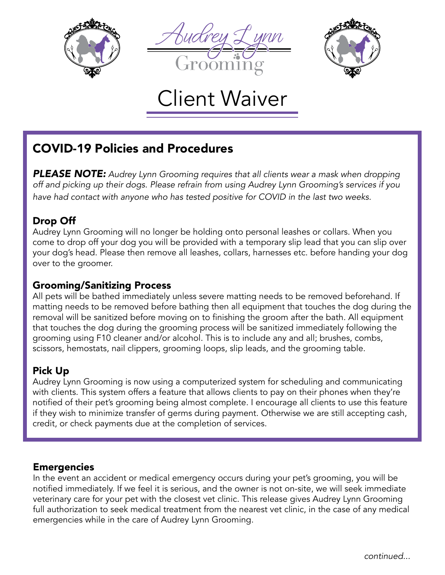





# Client Waiver

# COVID-19 Policies and Procedures

*PLEASE NOTE: Audrey Lynn Grooming requires that all clients wear a mask when dropping off and picking up their dogs. Please refrain from using Audrey Lynn Grooming's services if you have had contact with anyone who has tested positive for COVID in the last two weeks.*

#### Drop Off

Audrey Lynn Grooming will no longer be holding onto personal leashes or collars. When you come to drop off your dog you will be provided with a temporary slip lead that you can slip over your dog's head. Please then remove all leashes, collars, harnesses etc. before handing your dog over to the groomer.

#### Grooming/Sanitizing Process

All pets will be bathed immediately unless severe matting needs to be removed beforehand. If matting needs to be removed before bathing then all equipment that touches the dog during the removal will be sanitized before moving on to finishing the groom after the bath. All equipment that touches the dog during the grooming process will be sanitized immediately following the grooming using F10 cleaner and/or alcohol. This is to include any and all; brushes, combs, scissors, hemostats, nail clippers, grooming loops, slip leads, and the grooming table.

## Pick Up

Audrey Lynn Grooming is now using a computerized system for scheduling and communicating with clients. This system offers a feature that allows clients to pay on their phones when they're notified of their pet's grooming being almost complete. I encourage all clients to use this feature if they wish to minimize transfer of germs during payment. Otherwise we are still accepting cash, credit, or check payments due at the completion of services.

#### Emergencies

In the event an accident or medical emergency occurs during your pet's grooming, you will be notified immediately. If we feel it is serious, and the owner is not on-site, we will seek immediate veterinary care for your pet with the closest vet clinic. This release gives Audrey Lynn Grooming full authorization to seek medical treatment from the nearest vet clinic, in the case of any medical emergencies while in the care of Audrey Lynn Grooming.